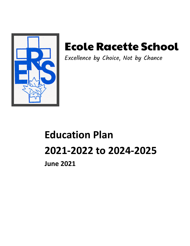

# Ecole Racette School

Excellence by Choice, Not by Chance

# **Education Plan 2021-2022 to 2024-2025**

**June 2021**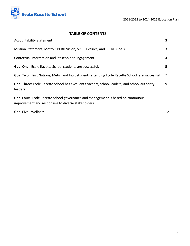

# **TABLE OF CONTENTS**

| <b>Accountability Statement</b>                                                                                                         | 3  |
|-----------------------------------------------------------------------------------------------------------------------------------------|----|
| Mission Statement, Motto, SPERD Vision, SPERD Values, and SPERD Goals                                                                   | 3  |
| Contextual Information and Stakeholder Engagement                                                                                       | 4  |
| <b>Goal One:</b> Ecole Racette School students are successful.                                                                          | 5  |
| Goal Two: First Nations, Métis, and Inuit students attending Ecole Racette School are successful.                                       | 7  |
| Goal Three: Ecole Racette School has excellent teachers, school leaders, and school authority<br>leaders.                               | 9  |
| Goal Four: Ecole Racette School governance and management is based on continuous<br>improvement and responsive to diverse stakeholders. | 11 |
| <b>Goal Five: Wellness</b>                                                                                                              | 12 |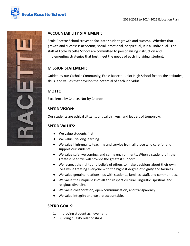



# **ACCOUNTABILITY STATEMENT:**

Ecole Racette School strives to facilitate student growth and success. Whether that growth and success is academic, social, emotional, or spiritual, it is all individual. The staff at Ecole Racette School are committed to personalizing instruction and implementing strategies that best meet the needs of each individual student.

# **MISSION STATEMENT:**

Guided by our Catholic Community, Ecole Racette Junior High School fosters the attitudes, skills, and values that develop the potential of each individual.

# **MOTTO:**

Excellence by Choice, Not by Chance

# **SPERD VISION:**

Our students are ethical citizens, critical thinkers, and leaders of tomorrow.

# **SPERD VALUES:**

- We value students first.
- We value life-long learning.
- We value high-quality teaching and service from all those who care for and support our students.
- We value safe, welcoming, and caring environments. When a student is in the greatest need we will provide the greatest support.
- We respect the rights and beliefs of others to make decisions about their own lives while treating everyone with the highest degree of dignity and fairness.
- We value genuine relationships with students, families, staff, and communities.
- We value the uniqueness of all and respect cultural, linguistic, spiritual, and religious diversity.
- We value collaboration, open communication, and transparency.
- We value integrity and we are accountable.

# **SPERD GOALS:**

- 1. Improving student achievement
- 2. Building quality relationships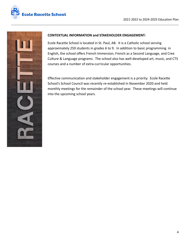



#### **CONTEXTUAL INFORMATION and STAKEHOLDER ENGAGEMENT:**

Ecole Racette School is located in St. Paul, AB. It is a Catholic school serving approximately 250 students in grades 6 to 9. In addition to basic programming in English, the school offers French Immersion, French as a Second Language, and Cree Culture & Language programs. The school also has well-developed art, music, and CTS courses and a number of extra-curricular opportunities.

Effective communication and stakeholder engagement is a priority. Ecole Racette School's School Council was recently re-established in November 2020 and held monthly meetings for the remainder of the school year. These meetings will continue into the upcoming school years.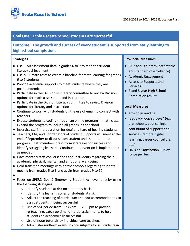

# **Goal One: Ecole Racette School students are successful**

**Outcome: The growth and success of every student is supported from early learning to high school completion.**

#### **Strategies**

- Use STAR assessment data in grades 6 to 9 to monitor student literacy achievement
- Use MIPI math tests to create a baseline for math learning for grades 6 to 9 students
- Provide academic supports to meet students where they are post-pandemic
- Participate in the Division Numeracy committee to review Division options for math assessment and instruction
- Participate in the Division Literacy committee to review Division options for literacy and instruction
- Continue to work with students on the use of email to connect with teachers
- Expose students to coding through an online program in math class. Expand the program to include all grades in the school.
- Inservice staff in preparation for deaf and hard of hearing students
- Teachers, EAs, and Coordinators of Student Supports will meet at the end of September to discuss each student and their academic progress. Staff members brainstorm strategies for success and identify struggling learners. Continued intervention is implemented as needed.
- Have monthly staff conversations about students regarding their academic, physical, mental, and emotional well-being
- Hold transition meetings with partner schools regarding students moving from grades 5 to 6 and again from grades 9 to 10
- ●
- Focus on SPERD Goal 1 (Improving Student Achievement) by using the following strategies:
	- Identify students at risk on a monthly basis
	- Identify the learning styles of students at risk
	- Adjust the teaching of curriculum and add accommodations to assist students in being successful
	- $\circ$  Use of SST period from 11:38 am  $-$  12:03 pm to provide re-teaching, catch-up time, or re-do assignments to help students be academically successful
	- Use of noon tutorials by individual core teachers
	- Administer midterm exams in core subjects for all students in

#### **Provincial Measures**

- PATs and Diplomas (acceptable and standard of excellence)
- Academic Engagement
- Access to Supports and Services
- 3 and 5 year High School Completion results

- growth in reading
- feedback-loop surveys<sup>\*</sup> (e.g., pre-schools, counselling, continuum of supports and services, remote digital learning, career counsellors, etc.)
- Division Satisfaction Survey (once per term)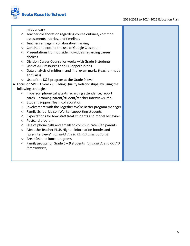#### 2021-2022 to 2024-2025 Education Plan



mid January

- Teacher collaboration regarding course outlines, common assessments, rubrics, and timelines
- Teachers engage in collaborative marking
- Continue to expand the use of Google Classroom
- Presentations from outside individuals regarding career choices
- Division Career Counsellor works with Grade 9 students
- Use of AAC resources and PD opportunities
- Data analysis of midterm and final exam marks (teacher-made and PATs)
- Use of the K&E program at the Grade 9 level
- Focus on SPERD Goal 2 (Building Quality Relationships) by using the following strategies:
	- In-person phone calls/texts regarding attendance, report cards, upcoming parent/student/teacher interviews, etc.
	- Student Support Team collaboration
	- Involvement with the Together We're Better program manager
	- Family School Liaison Worker supporting students
	- Expectations for how staff treat students and model behaviors
	- Postcard program
	- Use of phone calls and emails to communicate with parents
	- Meet the Teacher PLUS Night information booths and "pre-interviews" *(on hold due to COVID interruptions)*
	- Breakfast and lunch programs
	- Family groups for Grade 6 9 students *(on hold due to COVID interruptions)*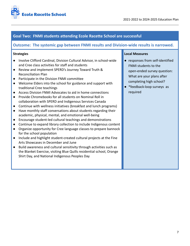

# **Goal Two: FNMI students attending Ecole Racette School are successful**

# **Outcome: The systemic gap between FNMI results and Division-wide results is narrowed.**

#### **Strategies**

- Involve Clifford Cardinal, Division Cultural Advisor, in school-wide and Cree class activities for staff and students
- Review and implement SPERD's Journey Toward Truth & Reconciliation Plan
- Participate in the Division FNMI committee
- Welcome Elders into the school for guidance and support with traditional Cree teachings
- Access Division FNMI Advocates to aid in home connections
- Provide Chromebooks for all students on Nominal Roll in collaboration with SPERD and Indigenous Services Canada
- Continue with wellness initiatives (breakfast and lunch programs)
- Have monthly staff conversations about students regarding their academic, physical, mental, and emotional well-being
- Encourage student-led cultural teachings and demonstrations
- Continue to expand library collection to include Indigenous content
- Organize opportunity for Cree language classes to prepare bannock for the school population
- Include and highlight student-created cultural projects at the Fine Arts Showcases in December and June
- Build awareness and cultural sensitivity through activities such as the Blanket Exercise, visiting Blue Quills residential school, Orange Shirt Day, and National Indigenous Peoples Day

- responses from self-identified FNMI students to the open-ended survey question: What are your plans after completing high school?
- \*feedback-loop surveys as required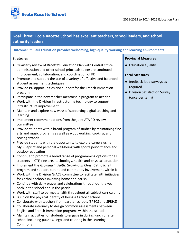

# **Goal Three: Ecole Racette School has excellent teachers, school leaders, and school authority leaders**

## **Outcome: St. Paul Education provides welcoming, high-quality working and learning environments**

#### **Strategies**

- Quarterly review of Racette's Education Plan with Central Office administration and other school principals to ensure continued improvement, collaboration, and coordination of PD
- Promote and support the use of a variety of effective and balanced student assessment techniques
- Provide PD opportunities and support for the French Immersion program
- Participate in the new teacher mentorship program as needed
- Work with the Division in restructuring technology to support infrastructure improvement
- Maintain and explore new ways of supporting digital teaching and learning
- Implement recommendations from the joint ATA PD review committee
- Provide students with a broad program of studies by maintaining fine arts and music programs as well as woodworking, cooking, and sewing strands
- Provide students with the opportunity to explore careers using MyBlueprint and personal well-being with sports performance and outdoor education
- Continue to promote a broad range of programming options for all students in CTF, fine arts, technology, health and physical education
- Implement the *Growing in Faith, Growing in Christ* Catholic faith program and support parent and community involvement within it
- Work with the Division GrACE committee to facilitate faith initiatives for Catholic schools involving home and parish
- Continue with daily prayer and celebrations throughout the year, both in the school and in the parish
- Work with staff to permeate faith throughout all subject curriculums
- Build on the physical identity of being a Catholic school
- Collaborate with teachers from partner schools (SPECS and SPRHS)
- Collaborate internally to design common assessments between English and French Immersion programs within the school
- Maintain activities for students to engage in during lunch or after school including puzzles, Lego, and coloring in the Learning Commons

#### **Provincial Measures**

● Education Quality

- feedback-loop surveys as required
- Division Satisfaction Survey (once per term)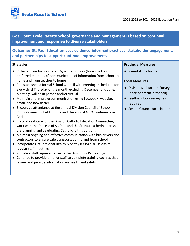



**Goal Four: Ecole Racette School governance and management is based on continual improvement and responsive to diverse stakeholders**

**Outcome: St. Paul Education uses evidence-informed practices, stakeholder engagement, and partnerships to support continual improvement.**

#### **Strategies**

- Collected feedback in parent/guardian survey (June 2021) on preferred methods of communication of information from school to home and from teacher to home
- Re-established a formal School Council with meetings scheduled for every third Thursday of the month excluding December and June. Meetings will be in person and/or virtual.
- Maintain and improve communication using Facebook, website, email, and newsletter
- Encourage attendance at the annual Division Council of School Councils meeting held in June and the annual ASCA conference in April
- In collaboration with the Division Catholic Education Committee, work with the Diocese of St. Paul and the St. Paul cathedral parish in the planning and celebrating Catholic faith traditions
- Maintain ongoing and effective communication with bus drivers and contractors to ensure safe transportation to and from school
- Incorporate Occupational Health & Safety (OHS) discussions at regular staff meetings
- Provide a staff representative to the Division OHS meetings
- Continue to provide time for staff to complete training courses that review and provide information on health and safety

#### **Provincial Measures**

● Parental Involvement

- Division Satisfaction Survey (once per term in the fall)
- feedback loop surveys as required
- School Council participation